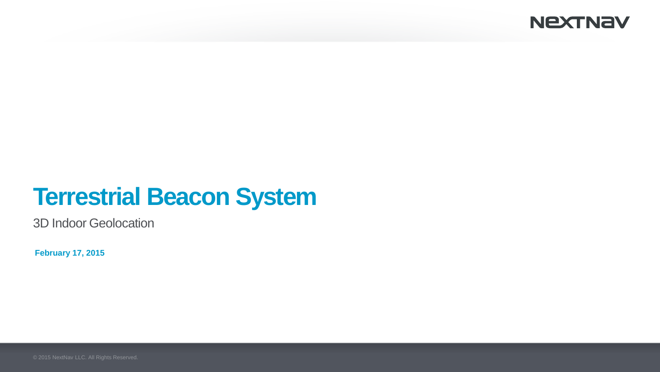### **NEXTNAV**

# **Terrestrial Beacon System**

3D Indoor Geolocation

**February 17, 2015**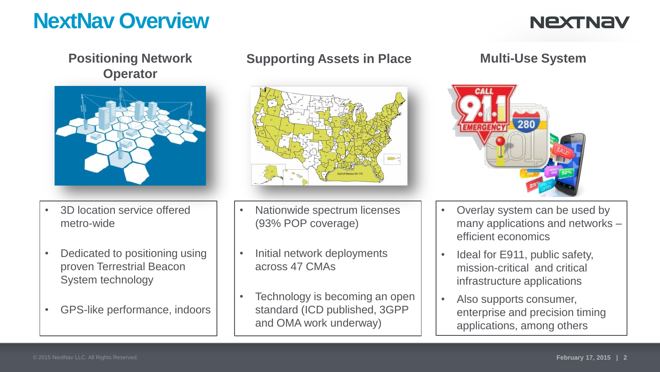## **NextNav Overview**

## **NEXTNAV**

**Positioning Network Operator**



- 3D location service offered metro-wide
- Dedicated to positioning using proven Terrestrial Beacon System technology
- GPS-like performance, indoors

#### **Supporting Assets in Place Multi-Use System**



- Nationwide spectrum licenses (93% POP coverage)
- Initial network deployments across 47 CMAs
- Technology is becoming an open standard (ICD published, 3GPP and OMA work underway)



- Overlay system can be used by many applications and networks – efficient economics
- Ideal for E911, public safety, mission-critical and critical infrastructure applications
- Also supports consumer, enterprise and precision timing applications, among others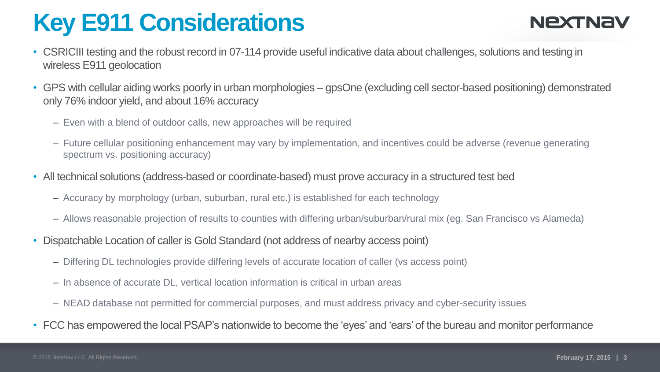# **Key E911 Considerations**

## NEXTNAY

- CSRICIII testing and the robust record in 07-114 provide useful indicative data about challenges, solutions and testing in wireless E911 geolocation
- GPS with cellular aiding works poorly in urban morphologies gpsOne (excluding cell sector-based positioning) demonstrated only 76% indoor yield, and about 16% accuracy
	- Even with a blend of outdoor calls, new approaches will be required
	- Future cellular positioning enhancement may vary by implementation, and incentives could be adverse (revenue generating spectrum vs. positioning accuracy)
- All technical solutions (address-based or coordinate-based) must prove accuracy in a structured test bed
	- Accuracy by morphology (urban, suburban, rural etc.) is established for each technology
	- Allows reasonable projection of results to counties with differing urban/suburban/rural mix (eg. San Francisco vs Alameda)
- Dispatchable Location of caller is Gold Standard (not address of nearby access point)
	- Differing DL technologies provide differing levels of accurate location of caller (vs access point)
	- In absence of accurate DL, vertical location information is critical in urban areas
	- NEAD database not permitted for commercial purposes, and must address privacy and cyber-security issues
- FCC has empowered the local PSAP's nationwide to become the 'eyes' and 'ears' of the bureau and monitor performance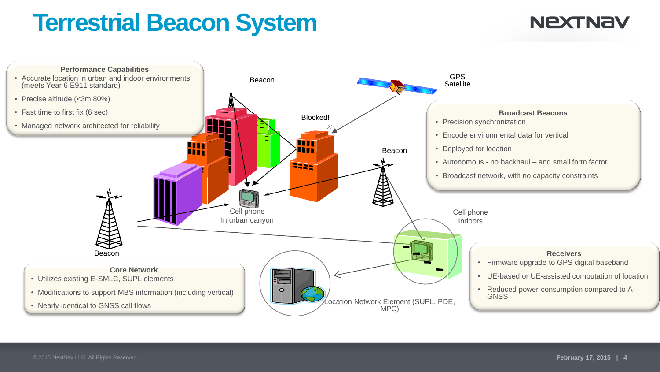# **Terrestrial Beacon System**

## **NEXTNAV**

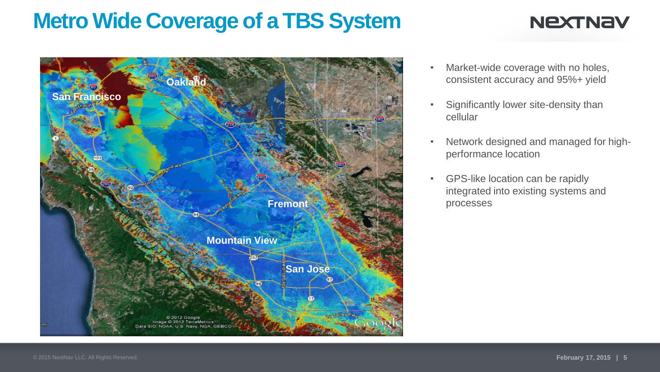## **Metro Wide Coverage of a TBS System**

## **NEXTNAV**



- Market-wide coverage with no holes, consistent accuracy and 95%+ yield
- Significantly lower site-density than cellular
- Network designed and managed for highperformance location
- GPS-like location can be rapidly integrated into existing systems and processes